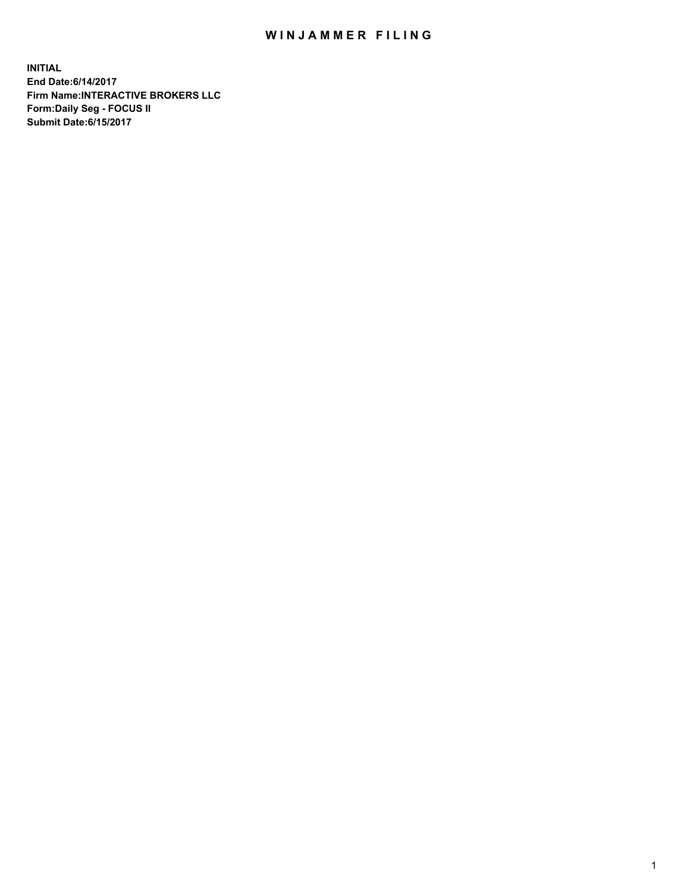## WIN JAMMER FILING

**INITIAL End Date:6/14/2017 Firm Name:INTERACTIVE BROKERS LLC Form:Daily Seg - FOCUS II Submit Date:6/15/2017**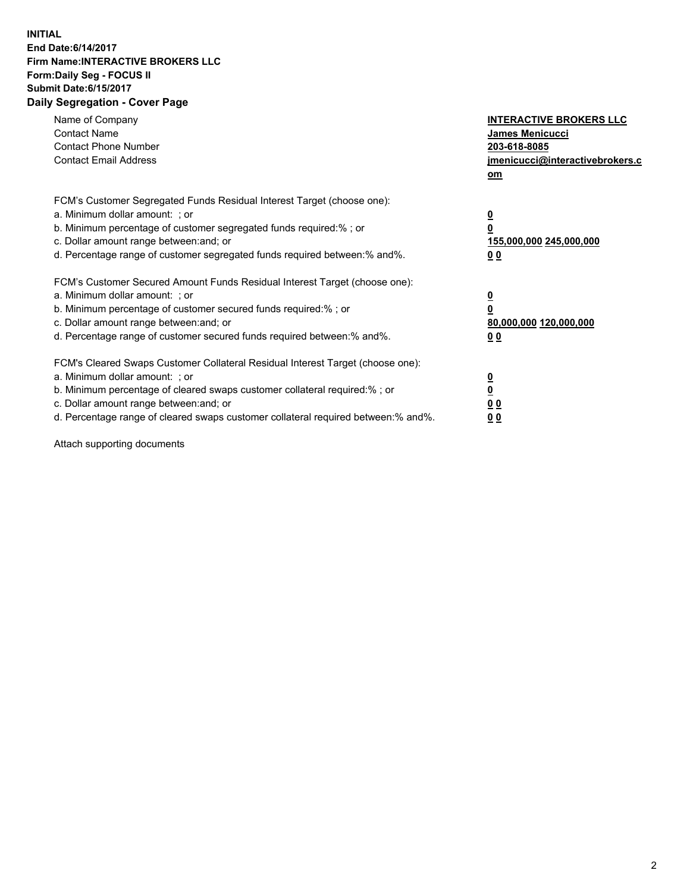## **INITIAL End Date:6/14/2017 Firm Name:INTERACTIVE BROKERS LLC Form:Daily Seg - FOCUS II Submit Date:6/15/2017 Daily Segregation - Cover Page**

| Name of Company<br><b>Contact Name</b><br><b>Contact Phone Number</b><br><b>Contact Email Address</b>                                                                                                                                                                                                                          | <b>INTERACTIVE BROKERS LLC</b><br>James Menicucci<br>203-618-8085<br>jmenicucci@interactivebrokers.c<br>om |
|--------------------------------------------------------------------------------------------------------------------------------------------------------------------------------------------------------------------------------------------------------------------------------------------------------------------------------|------------------------------------------------------------------------------------------------------------|
| FCM's Customer Segregated Funds Residual Interest Target (choose one):<br>a. Minimum dollar amount: ; or<br>b. Minimum percentage of customer segregated funds required:%; or<br>c. Dollar amount range between: and; or<br>d. Percentage range of customer segregated funds required between:% and%.                          | $\overline{\mathbf{0}}$<br>0<br>155,000,000 245,000,000<br>0 <sub>0</sub>                                  |
| FCM's Customer Secured Amount Funds Residual Interest Target (choose one):<br>a. Minimum dollar amount: ; or<br>b. Minimum percentage of customer secured funds required:%; or<br>c. Dollar amount range between: and; or<br>d. Percentage range of customer secured funds required between:% and%.                            | $\overline{\mathbf{0}}$<br>$\overline{\mathbf{0}}$<br>80,000,000 120,000,000<br>00                         |
| FCM's Cleared Swaps Customer Collateral Residual Interest Target (choose one):<br>a. Minimum dollar amount: ; or<br>b. Minimum percentage of cleared swaps customer collateral required:% ; or<br>c. Dollar amount range between: and; or<br>d. Percentage range of cleared swaps customer collateral required between:% and%. | $\overline{\mathbf{0}}$<br>$\overline{\mathbf{0}}$<br>0 <sub>0</sub><br><u>00</u>                          |

Attach supporting documents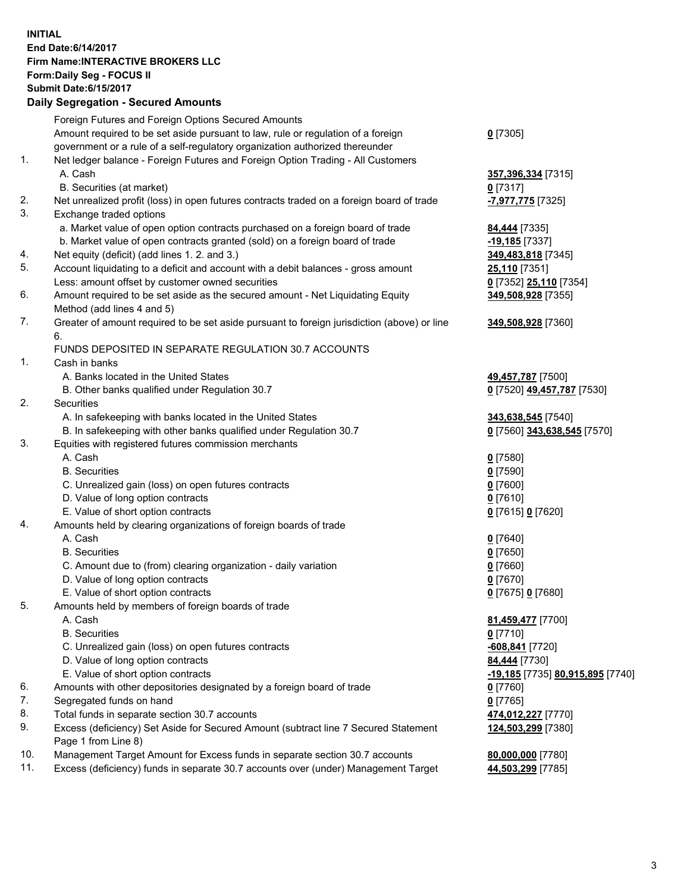## **INITIAL End Date:6/14/2017 Firm Name:INTERACTIVE BROKERS LLC Form:Daily Seg - FOCUS II Submit Date:6/15/2017**

|     | <b>Daily Segregation - Secured Amounts</b>                                                  |                                  |
|-----|---------------------------------------------------------------------------------------------|----------------------------------|
|     | Foreign Futures and Foreign Options Secured Amounts                                         |                                  |
|     | Amount required to be set aside pursuant to law, rule or regulation of a foreign            | $0$ [7305]                       |
|     | government or a rule of a self-regulatory organization authorized thereunder                |                                  |
| 1.  | Net ledger balance - Foreign Futures and Foreign Option Trading - All Customers             |                                  |
|     | A. Cash                                                                                     | 357,396,334 [7315]               |
|     | B. Securities (at market)                                                                   | $0$ [7317]                       |
| 2.  | Net unrealized profit (loss) in open futures contracts traded on a foreign board of trade   | <mark>-7,977,775</mark> [7325]   |
| 3.  | Exchange traded options                                                                     |                                  |
|     | a. Market value of open option contracts purchased on a foreign board of trade              | 84,444 [7335]                    |
|     | b. Market value of open contracts granted (sold) on a foreign board of trade                | -19,185 <sup>[7337]</sup>        |
| 4.  | Net equity (deficit) (add lines 1.2. and 3.)                                                | 349,483,818 [7345]               |
| 5.  | Account liquidating to a deficit and account with a debit balances - gross amount           | 25,110 [7351]                    |
|     | Less: amount offset by customer owned securities                                            | 0 [7352] 25,110 [7354]           |
| 6.  | Amount required to be set aside as the secured amount - Net Liquidating Equity              | 349,508,928 [7355]               |
|     | Method (add lines 4 and 5)                                                                  |                                  |
| 7.  | Greater of amount required to be set aside pursuant to foreign jurisdiction (above) or line | 349,508,928 [7360]               |
|     | 6.                                                                                          |                                  |
|     | FUNDS DEPOSITED IN SEPARATE REGULATION 30.7 ACCOUNTS                                        |                                  |
| 1.  | Cash in banks                                                                               |                                  |
|     | A. Banks located in the United States                                                       | 49,457,787 [7500]                |
|     | B. Other banks qualified under Regulation 30.7                                              | 0 [7520] 49,457,787 [7530]       |
| 2.  | Securities                                                                                  |                                  |
|     | A. In safekeeping with banks located in the United States                                   | 343,638,545 [7540]               |
|     | B. In safekeeping with other banks qualified under Regulation 30.7                          | 0 [7560] 343,638,545 [7570]      |
| 3.  | Equities with registered futures commission merchants                                       |                                  |
|     | A. Cash                                                                                     | $0$ [7580]                       |
|     | <b>B.</b> Securities                                                                        | <u>0</u> [7590]                  |
|     | C. Unrealized gain (loss) on open futures contracts                                         | 0 [7600]                         |
|     | D. Value of long option contracts                                                           | $0$ [7610]                       |
|     | E. Value of short option contracts                                                          | 0 [7615] 0 [7620]                |
| 4.  | Amounts held by clearing organizations of foreign boards of trade                           |                                  |
|     | A. Cash                                                                                     | $0$ [7640]                       |
|     | <b>B.</b> Securities                                                                        | $0$ [7650]                       |
|     | C. Amount due to (from) clearing organization - daily variation                             | 0 [7660]                         |
|     | D. Value of long option contracts                                                           | $0$ [7670]                       |
|     | E. Value of short option contracts                                                          | 0 [7675] 0 [7680]                |
| 5.  | Amounts held by members of foreign boards of trade                                          |                                  |
|     | A. Cash                                                                                     | 81,459,477 [7700]                |
|     | <b>B.</b> Securities                                                                        | $0$ [7710]                       |
|     | C. Unrealized gain (loss) on open futures contracts                                         | <u>-608,841</u> [7720]           |
|     | D. Value of long option contracts                                                           | 84,444 [7730]                    |
|     | E. Value of short option contracts                                                          | -19,185 [7735] 80,915,895 [7740] |
| 6.  | Amounts with other depositories designated by a foreign board of trade                      | $0$ [7760]                       |
| 7.  | Segregated funds on hand                                                                    | $0$ [7765]                       |
| 8.  | Total funds in separate section 30.7 accounts                                               | 474,012,227 [7770]               |
| 9.  | Excess (deficiency) Set Aside for Secured Amount (subtract line 7 Secured Statement         | 124,503,299 [7380]               |
|     | Page 1 from Line 8)                                                                         |                                  |
| 10. | Management Target Amount for Excess funds in separate section 30.7 accounts                 | 80,000,000 [7780]                |
| 11. | Excess (deficiency) funds in separate 30.7 accounts over (under) Management Target          | 44,503,299 [7785]                |
|     |                                                                                             |                                  |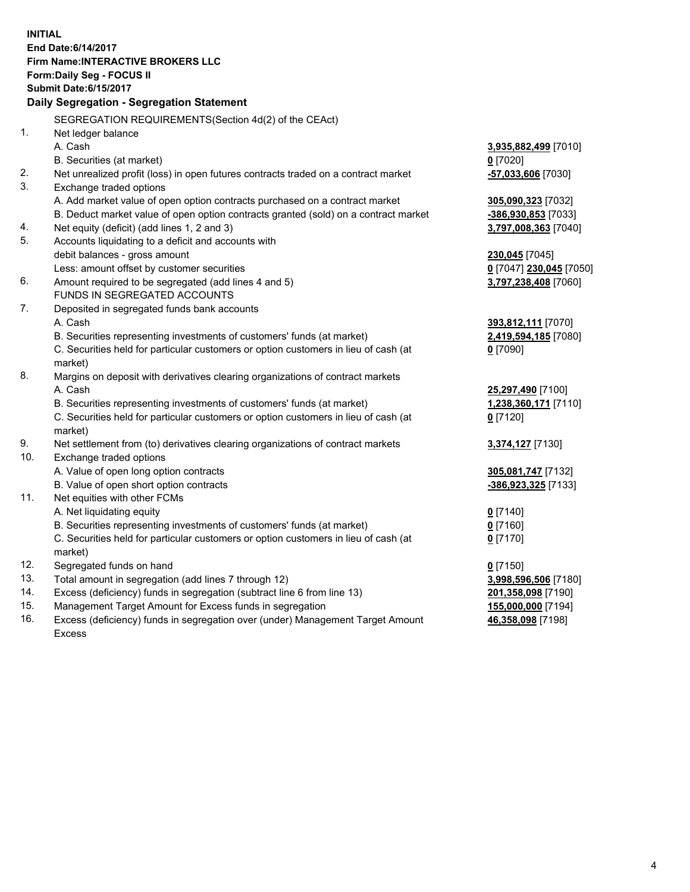**INITIAL End Date:6/14/2017 Firm Name:INTERACTIVE BROKERS LLC Form:Daily Seg - FOCUS II Submit Date:6/15/2017 Daily Segregation - Segregation Statement** SEGREGATION REQUIREMENTS(Section 4d(2) of the CEAct) 1. Net ledger balance A. Cash **3,935,882,499** [7010] B. Securities (at market) **0** [7020] 2. Net unrealized profit (loss) in open futures contracts traded on a contract market **-57,033,606** [7030] 3. Exchange traded options A. Add market value of open option contracts purchased on a contract market **305,090,323** [7032] B. Deduct market value of open option contracts granted (sold) on a contract market **-386,930,853** [7033] 4. Net equity (deficit) (add lines 1, 2 and 3) **3,797,008,363** [7040] 5. Accounts liquidating to a deficit and accounts with debit balances - gross amount **230,045** [7045] Less: amount offset by customer securities **0** [7047] **230,045** [7050] 6. Amount required to be segregated (add lines 4 and 5) **3,797,238,408** [7060] FUNDS IN SEGREGATED ACCOUNTS 7. Deposited in segregated funds bank accounts A. Cash **393,812,111** [7070] B. Securities representing investments of customers' funds (at market) **2,419,594,185** [7080] C. Securities held for particular customers or option customers in lieu of cash (at market) **0** [7090] 8. Margins on deposit with derivatives clearing organizations of contract markets A. Cash **25,297,490** [7100] B. Securities representing investments of customers' funds (at market) **1,238,360,171** [7110] C. Securities held for particular customers or option customers in lieu of cash (at market) **0** [7120] 9. Net settlement from (to) derivatives clearing organizations of contract markets **3,374,127** [7130] 10. Exchange traded options A. Value of open long option contracts **305,081,747** [7132] B. Value of open short option contracts **-386,923,325** [7133] 11. Net equities with other FCMs A. Net liquidating equity **0** [7140] B. Securities representing investments of customers' funds (at market) **0** [7160] C. Securities held for particular customers or option customers in lieu of cash (at market) **0** [7170] 12. Segregated funds on hand **0** [7150] 13. Total amount in segregation (add lines 7 through 12) **3,998,596,506** [7180] 14. Excess (deficiency) funds in segregation (subtract line 6 from line 13) **201,358,098** [7190] 15. Management Target Amount for Excess funds in segregation **155,000,000** [7194] **46,358,098** [7198]

16. Excess (deficiency) funds in segregation over (under) Management Target Amount Excess